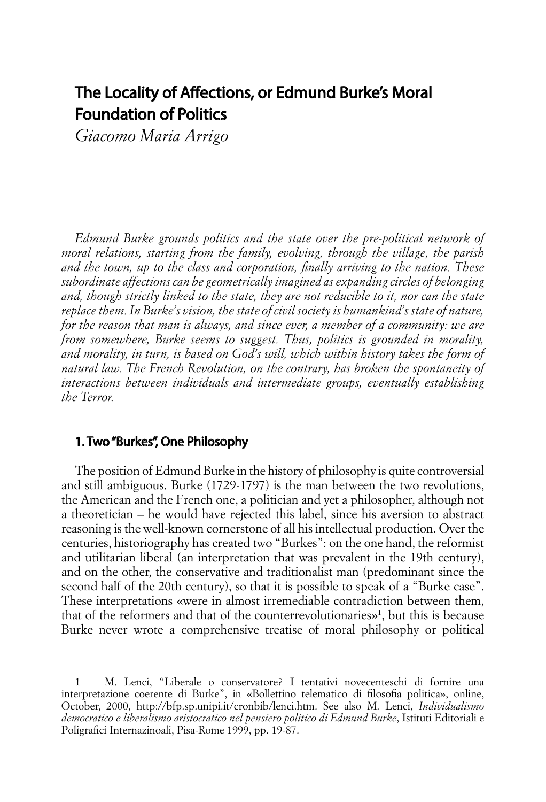## The Locality of Affections, or Edmund Burke's Moral Foundation of Politics

*Giacomo Maria Arrigo*

*Edmund Burke grounds politics and the state over the pre-political network of moral relations, starting from the family, evolving, through the village, the parish and the town, up to the class and corporation, finally arriving to the nation. These subordinate affections can be geometrically imagined as expanding circles of belonging and, though strictly linked to the state, they are not reducible to it, nor can the state replace them. In Burke's vision, the state of civil society is humankind's state of nature, for the reason that man is always, and since ever, a member of a community: we are from somewhere, Burke seems to suggest. Thus, politics is grounded in morality, and morality, in turn, is based on God's will, which within history takes the form of natural law. The French Revolution, on the contrary, has broken the spontaneity of interactions between individuals and intermediate groups, eventually establishing the Terror.* 

## 1. Two "Burkes", One Philosophy

The position of Edmund Burke in the history of philosophy is quite controversial and still ambiguous. Burke (1729-1797) is the man between the two revolutions, the American and the French one, a politician and yet a philosopher, although not a theoretician – he would have rejected this label, since his aversion to abstract reasoning is the well-known cornerstone of all his intellectual production. Over the centuries, historiography has created two "Burkes": on the one hand, the reformist and utilitarian liberal (an interpretation that was prevalent in the 19th century), and on the other, the conservative and traditionalist man (predominant since the second half of the 20th century), so that it is possible to speak of a "Burke case". These interpretations «were in almost irremediable contradiction between them, that of the reformers and that of the counterrevolutionaries»1 , but this is because Burke never wrote a comprehensive treatise of moral philosophy or political

<sup>1</sup> M. Lenci, "Liberale o conservatore? I tentativi novecenteschi di fornire una interpretazione coerente di Burke", in «Bollettino telematico di filosofia politica», online, October, 2000, http://bfp.sp.unipi.it/cronbib/lenci.htm. See also M. Lenci, *Individualismo democratico e liberalismo aristocratico nel pensiero politico di Edmund Burke*, Istituti Editoriali e Poligrafici Internazinoali, Pisa-Rome 1999, pp. 19-87.